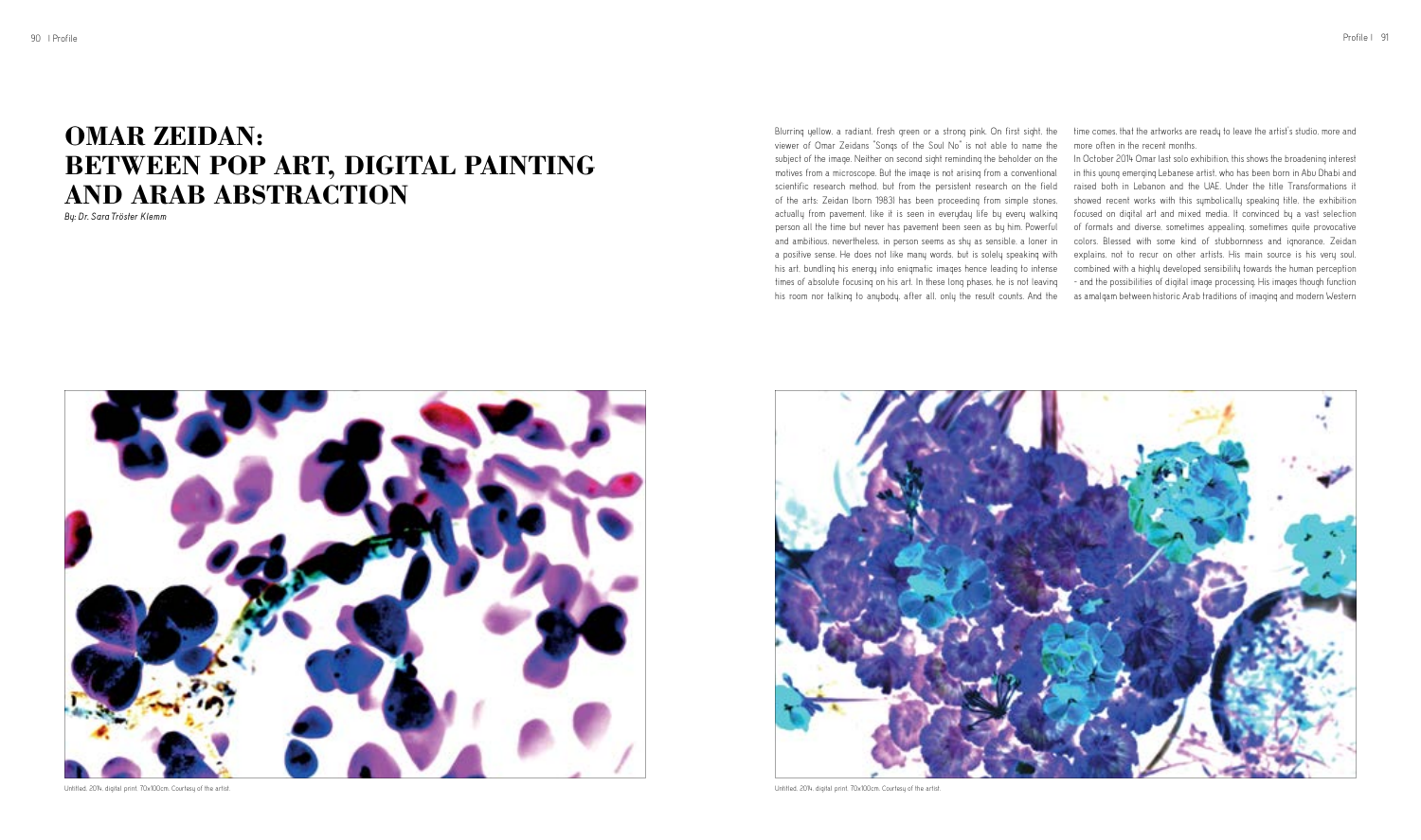Blurring yellow, a radiant, fresh green or a strong pink. On first sight, the viewer of Omar Zeidans "Songs of the Soul No" is not able to name the subject of the image. Neither on second sight reminding the beholder on the motives from a microscope. But the image is not arising from a conventional scientific research method, but from the persistent research on the field of the arts: Zeidan (born 1983) has been proceeding from simple stones, actually from pavement, like it is seen in everyday life by every walking person all the time but never has pavement been seen as by him. Powerful and ambitious, nevertheless, in person seems as shy as sensible, a loner in a positive sense. He does not like many words, but is solely speaking with his art, bundling his energy into enigmatic images hence leading to intense times of absolute focusing on his art. In these long phases, he is not leaving his room nor talking to anybody, after all, only the result counts. And the



## **OMAR ZEIDAN: BETWEEN POP ART, DIGITAL PAINTING AND ARAB ABSTRACTION**

*By: Dr. Sara Tröster Klemm*

time comes, that the artworks are ready to leave the artist's studio, more and more often in the recent months.

In October 2014 Omar last solo exhibition, this shows the broadening interest in this young emerging Lebanese artist, who has been born in Abu Dhabi and raised both in Lebanon and the UAE. Under the title Transformations it showed recent works with this symbolically speaking title, the exhibition focused on digital art and mixed media. It convinced by a vast selection of formats and diverse, sometimes appealing, sometimes quite provocative colors. Blessed with some kind of stubbornness and ignorance, Zeidan explains, not to recur on other artists. His main source is his very soul, combined with a highly developed sensibility towards the human perception - and the possibilities of digital image processing. His images though function as amalgam between historic Arab traditions of imaging and modern Western

Untitled, 2014, digital print, 70x100cm. Courtesy of the artist. Untitled, 2014, digital print, 70x100cm. Courtesy of the artist.